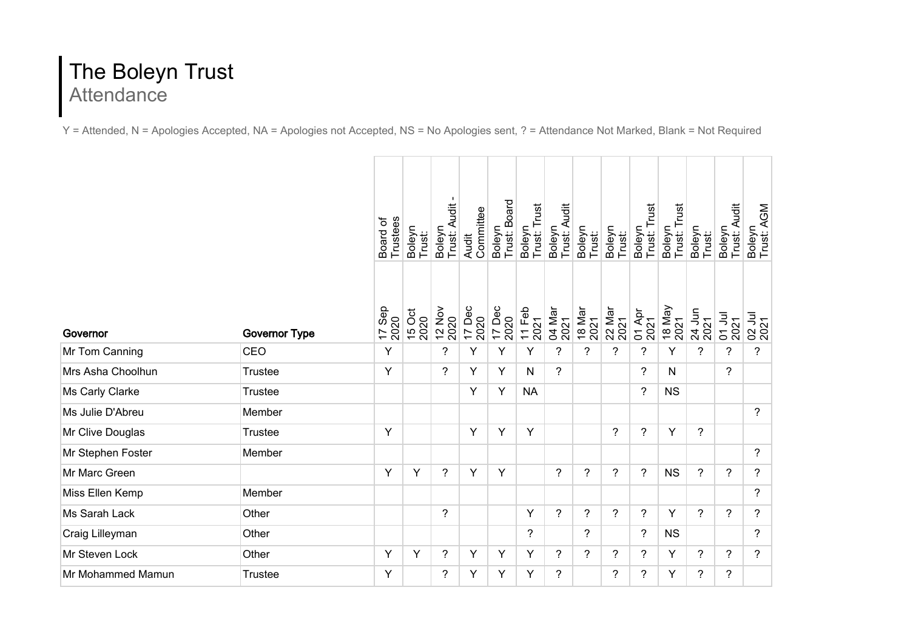## The Boleyn Trust Attendance

|                   |                      | Board of<br>Trustees | Boleyn<br>Trust: | Trust: Audit<br>Boleyn | Committee<br><b>Audit</b> | Trust: Board<br>Boleyn | Trust: Trust<br><b>Boleyn</b> | Trust: Audit<br>Boleyn | Boleyn<br>Trust: | Boleyn<br>Trust: | Trust: Trust<br>Boleyn   | Trust: Trust<br>Boleyn | Boleyn<br><b>Trust:</b> | Trust: Audit<br>Boleyn   | Boleyn<br>Trust: AGM |
|-------------------|----------------------|----------------------|------------------|------------------------|---------------------------|------------------------|-------------------------------|------------------------|------------------|------------------|--------------------------|------------------------|-------------------------|--------------------------|----------------------|
| Governor          | <b>Governor Type</b> | 17 Sep<br>2020       | 15 Oct<br>2020   | $12$ Nov<br>2020       | 17 Dec<br>2020            | 17 Dec<br>2020         | $11$ Feb<br>2021              | 04 Mar<br>2021         | 18 Mar<br>2021   | 22 Mar<br>2021   | 01 Apr<br>2021           | 18 May<br>2021         | 24 Jun<br>2021          | D1 Jul<br>2021           | 02 Jul<br>2021       |
| Mr Tom Canning    | CEO                  | Y                    |                  | $\tilde{?}$            | Y                         | Υ                      | Υ                             | ?                      | ?                | ?                | ?                        | Υ                      | $\tilde{?}$             | $\overline{\phantom{a}}$ | $\overline{?}$       |
| Mrs Asha Choolhun | <b>Trustee</b>       | Y                    |                  | ?                      | Y                         | Y                      | N                             | ?                      |                  |                  | ?                        | N                      |                         | ?                        |                      |
| Ms Carly Clarke   | <b>Trustee</b>       |                      |                  |                        | Y                         | Y                      | <b>NA</b>                     |                        |                  |                  | $\overline{?}$           | <b>NS</b>              |                         |                          |                      |
| Ms Julie D'Abreu  | Member               |                      |                  |                        |                           |                        |                               |                        |                  |                  |                          |                        |                         |                          | $\gamma$             |
| Mr Clive Douglas  | <b>Trustee</b>       | Y                    |                  |                        | Y                         | Υ                      | Y                             |                        |                  | $\overline{?}$   | $\overline{?}$           | Y                      | $\overline{?}$          |                          |                      |
| Mr Stephen Foster | Member               |                      |                  |                        |                           |                        |                               |                        |                  |                  |                          |                        |                         |                          | $\tilde{?}$          |
| Mr Marc Green     |                      | Y                    | Y                | $\tilde{?}$            | Y                         | Y                      |                               | $\overline{?}$         | ?                | $\overline{?}$   | $\overline{?}$           | <b>NS</b>              | $\overline{?}$          | ?                        | $\gamma$             |
| Miss Ellen Kemp   | Member               |                      |                  |                        |                           |                        |                               |                        |                  |                  |                          |                        |                         |                          | $\overline{?}$       |
| Ms Sarah Lack     | Other                |                      |                  | $\tilde{?}$            |                           |                        | Y                             | $\overline{?}$         | ?                | $\overline{?}$   | ?                        | Y                      | ?                       | ?                        | $\overline{?}$       |
| Craig Lilleyman   | Other                |                      |                  |                        |                           |                        | $\overline{?}$                |                        | $\overline{?}$   |                  | $\overline{\phantom{a}}$ | <b>NS</b>              |                         |                          | $\overline{\cdot}$   |
| Mr Steven Lock    | Other                | Υ                    | Y                | $\tilde{?}$            | Y                         | Y                      | Y                             | ?                      | ?                | ?                | ?                        | Y                      | ?                       | ?                        | $\overline{?}$       |
| Mr Mohammed Mamun | <b>Trustee</b>       | Υ                    |                  | $\ddot{?}$             | Υ                         | Y                      | Υ                             | ?                      |                  | $\tilde{?}$      | $\tilde{?}$              | Υ                      | ?                       | ?                        |                      |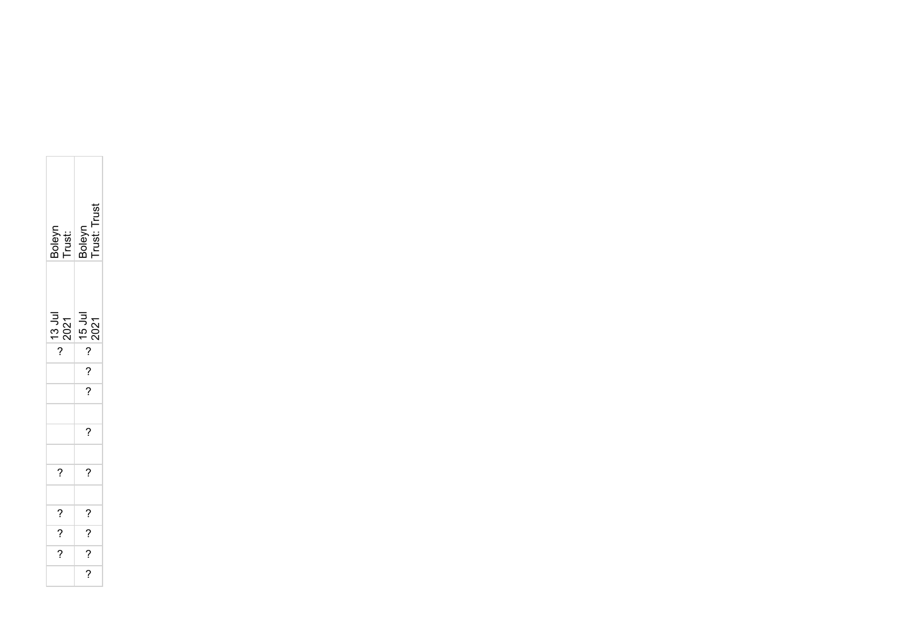| Roleyn<br>Trust: | ∣Boleyn<br>Trust: Trust     |
|------------------|-----------------------------|
| - 13 Ju<br>2021  | $\frac{15 \text{ J}}{2021}$ |
|                  |                             |
|                  | $\overline{\phantom{a}}$    |
|                  |                             |
|                  |                             |
|                  |                             |
|                  |                             |
|                  | ?                           |
|                  |                             |
|                  |                             |
| ?<br>?<br>?      | ?<br>?<br>?                 |
|                  |                             |
|                  |                             |
|                  |                             |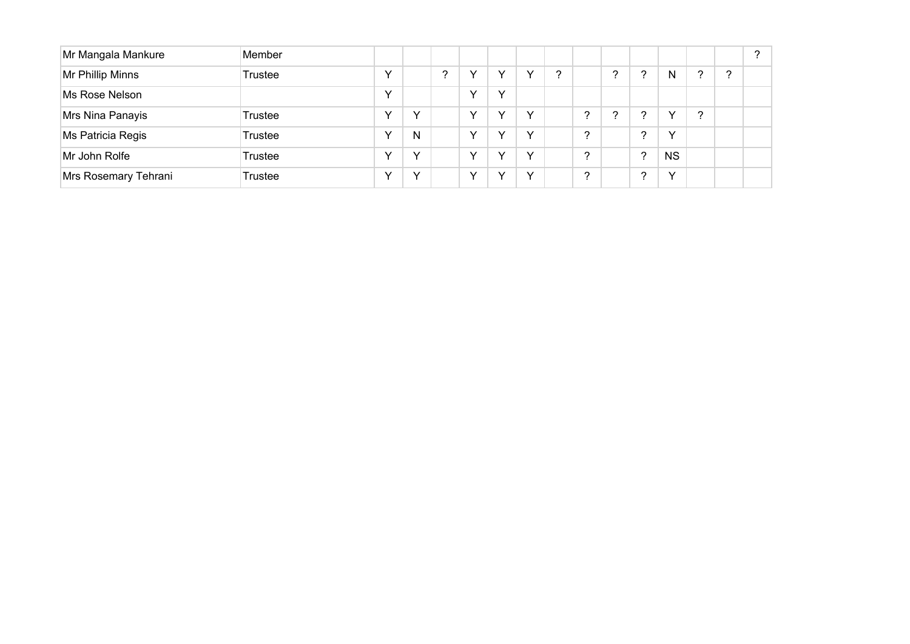| Mr Mangala Mankure   | Member  |              |              |   |              |              |   |   |   |   |              |   |   | ◠ |
|----------------------|---------|--------------|--------------|---|--------------|--------------|---|---|---|---|--------------|---|---|---|
| Mr Phillip Minns     | Trustee | $\checkmark$ |              | ົ |              |              | 2 |   | 2 | າ | N            | 2 | ? |   |
| Ms Rose Nelson       |         | $\checkmark$ |              |   | $\checkmark$ |              |   |   |   |   |              |   |   |   |
| Mrs Nina Panayis     | Trustee | v            |              |   |              | $\checkmark$ |   | 2 | ? | າ | $\checkmark$ | 2 |   |   |
| Ms Patricia Regis    | Trustee | v            | N            |   | $\checkmark$ | $\checkmark$ |   | ? |   | 2 | $\checkmark$ |   |   |   |
| Mr John Rolfe        | Trustee | v            | $\checkmark$ |   |              | $\checkmark$ |   | ? |   | 2 | <b>NS</b>    |   |   |   |
| Mrs Rosemary Tehrani | Trustee | v            |              |   |              | $\checkmark$ |   | 2 |   | C | $\checkmark$ |   |   |   |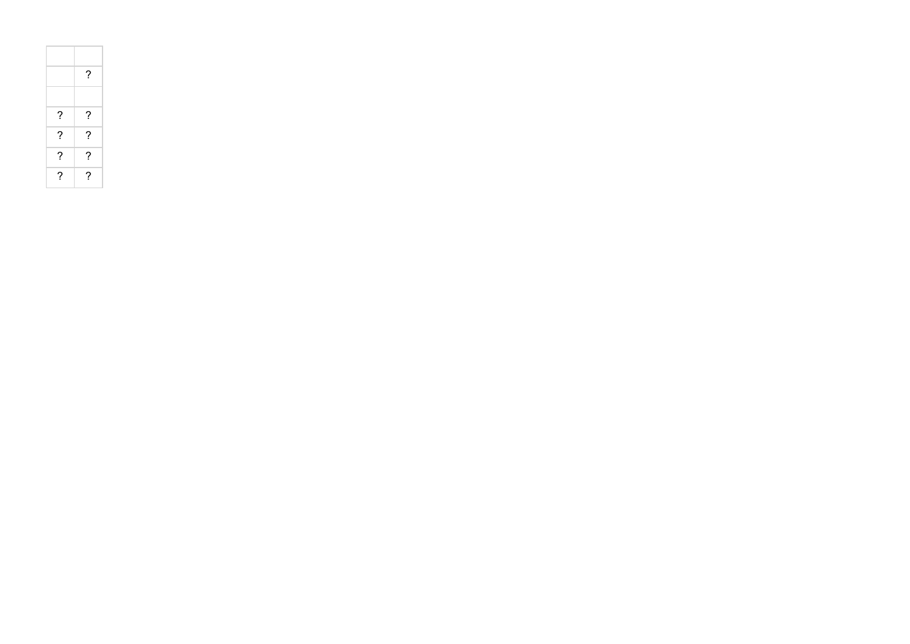|                      | ?                    |  |
|----------------------|----------------------|--|
|                      |                      |  |
| $\ddot{\phantom{0}}$ | $\ddot{\phantom{0}}$ |  |
| $\ddot{\text{?}}$    | ?                    |  |
| ?                    | ?                    |  |
| ?                    | ?                    |  |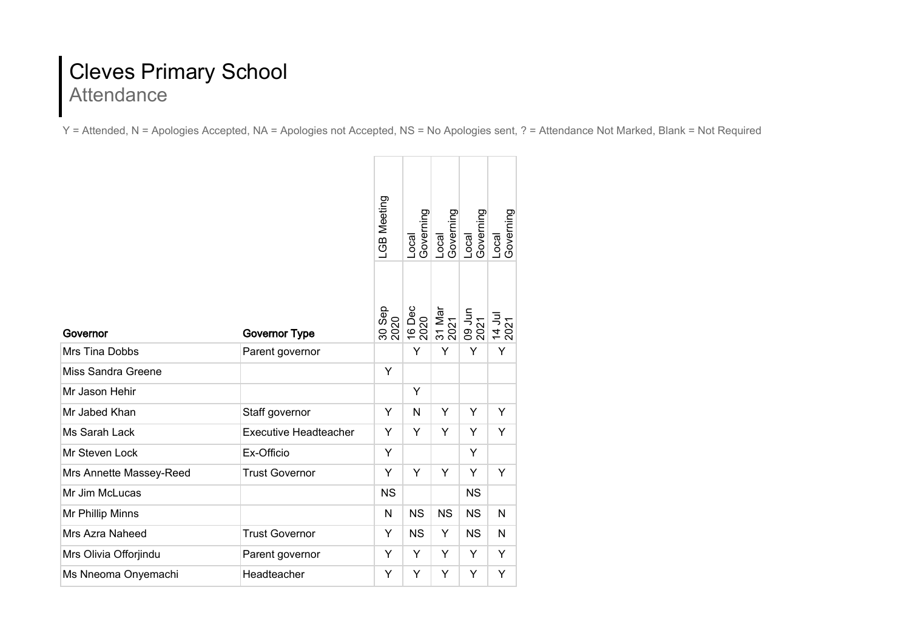## Cleves Primary School Attendance

|                         |                              | LGB Meeting    | Local<br>Governing | Local<br>Governing | Local<br>Governing | Governing<br>Loca |
|-------------------------|------------------------------|----------------|--------------------|--------------------|--------------------|-------------------|
| Governor                | <b>Governor Type</b>         | 30 Sep<br>2020 | 16 Dec<br>2020     | 31 Mar<br>2021     | 09 Jun<br>2021     | 14 Jul<br>2021    |
| Mrs Tina Dobbs          | Parent governor              |                | Y                  | Y                  | Y                  | Y                 |
| Miss Sandra Greene      |                              | Y              |                    |                    |                    |                   |
| Mr Jason Hehir          |                              |                | Y                  |                    |                    |                   |
| Mr Jabed Khan           | Staff governor               | Y              | N                  | Y                  | Y                  | Y                 |
| Ms Sarah Lack           | <b>Executive Headteacher</b> | Y              | Y                  | Y                  | Y                  | Y                 |
| Mr Steven Lock          | Ex-Officio                   | Y              |                    |                    | Y                  |                   |
| Mrs Annette Massey-Reed | <b>Trust Governor</b>        | Y              | Y                  | Y                  | Y                  | Y                 |
| Mr Jim McLucas          |                              | <b>NS</b>      |                    |                    | <b>NS</b>          |                   |
| Mr Phillip Minns        |                              | N              | <b>NS</b>          | <b>NS</b>          | <b>NS</b>          | N                 |
| Mrs Azra Naheed         | <b>Trust Governor</b>        | Y              | <b>NS</b>          | Y                  | <b>NS</b>          | N                 |
| Mrs Olivia Offorjindu   | Parent governor              | Y              | Y                  | Υ                  | Y                  | Υ                 |
| Ms Nneoma Onyemachi     | Headteacher                  | Υ              | Υ                  | Υ                  | Y                  | Υ                 |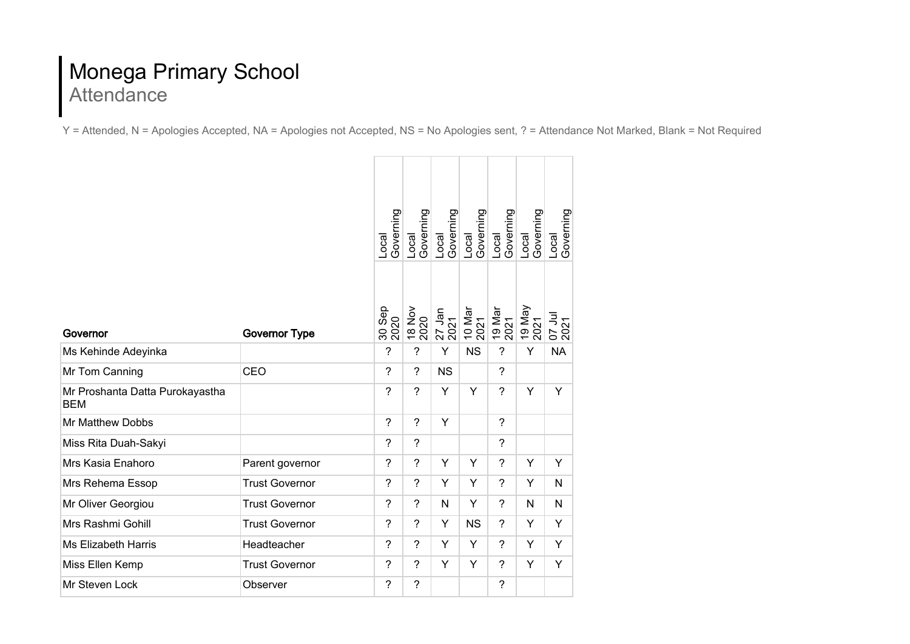#### Monega Primary School Attendance

|                                               |                       | Governing<br>Local | Governing<br>Local | Governing<br>Local | Governing<br>Local | Local<br>Governing       | Local<br>Governing | Governing<br>Local |
|-----------------------------------------------|-----------------------|--------------------|--------------------|--------------------|--------------------|--------------------------|--------------------|--------------------|
| Governor                                      | <b>Governor Type</b>  | 30 Sep<br>2020     | 18 Nov             | 27 Jan<br>2021     | 10 Mar<br>2021     | 19 Mar<br>2021           | 19 May<br>2021     | 07 Jul<br>2021     |
| Ms Kehinde Adeyinka                           |                       | ?                  | $\overline{?}$     | Y                  | <b>NS</b>          | $\tilde{?}$              | Y                  | <b>NA</b>          |
| Mr Tom Canning                                | CEO                   | $\tilde{?}$        | $\overline{?}$     | <b>NS</b>          |                    | $\tilde{?}$              |                    |                    |
| Mr Proshanta Datta Purokayastha<br><b>BEM</b> |                       | $\gamma$           | $\gamma$           | Y                  | Y                  | $\overline{\phantom{0}}$ | Y                  | Y                  |
| Mr Matthew Dobbs                              |                       | $\gamma$           | $\gamma$           | Y                  |                    | $\overline{?}$           |                    |                    |
| Miss Rita Duah-Sakyi                          |                       | ?                  | $\gamma$           |                    |                    | $\gamma$                 |                    |                    |
| Mrs Kasia Enahoro                             | Parent governor       | $\tilde{?}$        | $\overline{?}$     | Υ                  | Y                  | $\tilde{?}$              | Υ                  | Υ                  |
| Mrs Rehema Essop                              | <b>Trust Governor</b> | ?                  | ?                  | Y                  | Y                  | $\overline{?}$           | Y                  | N                  |
| Mr Oliver Georgiou                            | <b>Trust Governor</b> | $\gamma$           | $\gamma$           | N                  | Y                  | $\tilde{?}$              | N                  | N                  |
| Mrs Rashmi Gohill                             | <b>Trust Governor</b> | $\gamma$           | $\gamma$           | Y                  | <b>NS</b>          | $\overline{?}$           | Y                  | Y                  |
| <b>Ms Elizabeth Harris</b>                    | Headteacher           | $\tilde{?}$        | $\tilde{?}$        | Y                  | Y                  | $\overline{?}$           | Y                  | Υ                  |
| Miss Ellen Kemp                               | <b>Trust Governor</b> | $\gamma$           | $\overline{?}$     | Y                  | Y                  | $\overline{?}$           | Y                  | Y                  |
| Mr Steven Lock                                | Observer              | $\tilde{?}$        | $\overline{?}$     |                    |                    | $\tilde{?}$              |                    |                    |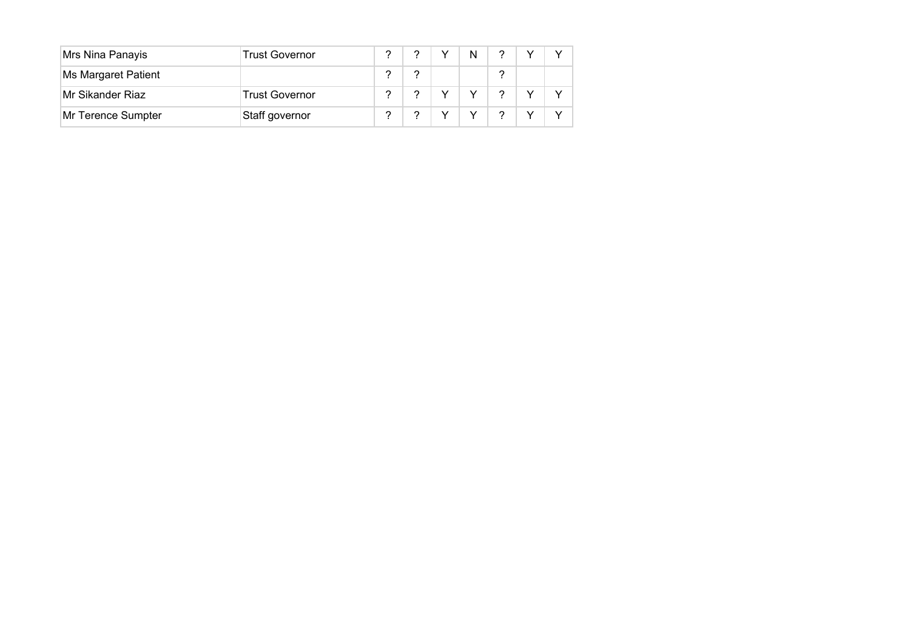| Mrs Nina Panayis    | <b>Trust Governor</b> | ົ | v | N |   |  |
|---------------------|-----------------------|---|---|---|---|--|
| Ms Margaret Patient |                       |   |   |   |   |  |
| Mr Sikander Riaz    | <b>Trust Governor</b> | ົ |   |   | າ |  |
| Mr Terence Sumpter  | Staff governor        |   |   |   |   |  |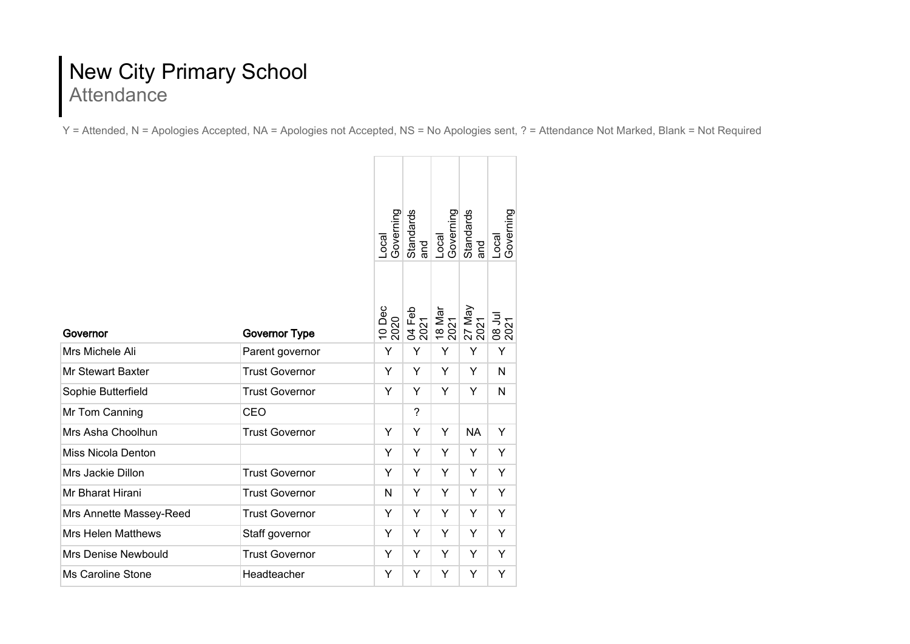#### New City Primary School **Attendance**

|                           |                       | Governing<br>Local | Standards<br>and | Local<br>Governing | Standards<br>and | Governing<br>Local |
|---------------------------|-----------------------|--------------------|------------------|--------------------|------------------|--------------------|
| Governor                  | <b>Governor Type</b>  | 10 Dec<br>2020     | 04 Feb<br>2021   | 18 Mar<br>2021     | 27 May<br>2021   | 08 Jul<br>2021     |
| Mrs Michele Ali           | Parent governor       | Y                  | Y                | Y                  | Y                | Y                  |
| <b>Mr Stewart Baxter</b>  | <b>Trust Governor</b> | Y                  | Y                | Y                  | Y                | N                  |
| Sophie Butterfield        | <b>Trust Governor</b> | Y                  | Y                | Y                  | Ý                | N                  |
| Mr Tom Canning            | CEO                   |                    | ?                |                    |                  |                    |
| Mrs Asha Choolhun         | <b>Trust Governor</b> | Y                  | Y                | Y                  | <b>NA</b>        | Y                  |
| <b>Miss Nicola Denton</b> |                       | Y                  | Y                | Y                  | Y                | Y                  |
| Mrs Jackie Dillon         | <b>Trust Governor</b> | Y                  | Y                | Y                  | Y                | Y                  |
| Mr Bharat Hirani          | <b>Trust Governor</b> | N                  | Y                | Y                  | Y                | Y                  |
| Mrs Annette Massey-Reed   | <b>Trust Governor</b> | Y                  | Y                | Y                  | Υ                | Y                  |
| <b>Mrs Helen Matthews</b> | Staff governor        | Y                  | Y                | Y                  | Y                | Y                  |
| Mrs Denise Newbould       | <b>Trust Governor</b> | Y                  | Y                | Y                  | Y                | Y                  |
| Ms Caroline Stone         | Headteacher           | Υ                  | Υ                | Υ                  | Υ                | Υ                  |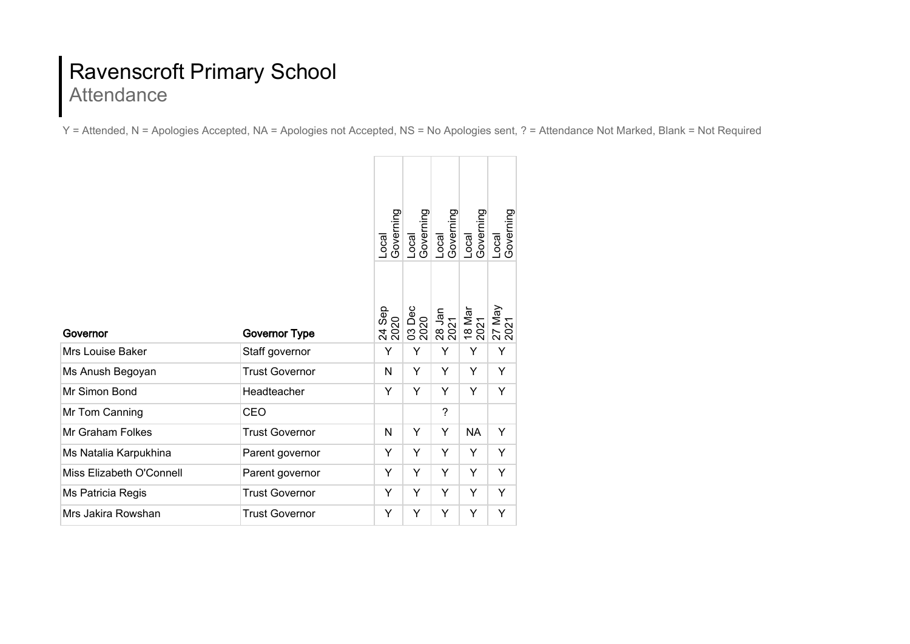#### Ravenscroft Primary School **Attendance**

|                          |                       | Governing<br>Local | Local<br>Governing | Local<br>Governing | Governing<br>Local | Local<br>Governing |
|--------------------------|-----------------------|--------------------|--------------------|--------------------|--------------------|--------------------|
| Governor                 | <b>Governor Type</b>  | 24 Sep<br>2020     | 03 Dec<br>2020     | 28 Jan<br>2021     | 18 Mar<br>2021     | 27 May<br>2021     |
| <b>Mrs Louise Baker</b>  | Staff governor        | Y                  | Y                  | Y                  | Y                  | Υ                  |
| Ms Anush Begoyan         | <b>Trust Governor</b> | N                  | Y                  | Y                  | Y                  | Y                  |
| Mr Simon Bond            | Headteacher           | Y                  | Y                  | Y                  | Y                  | Y                  |
| Mr Tom Canning           | <b>CEO</b>            |                    |                    | $\gamma$           |                    |                    |
| Mr Graham Folkes         | <b>Trust Governor</b> | N                  | Y                  | Y                  | <b>NA</b>          | Y                  |
| Ms Natalia Karpukhina    | Parent governor       | Y                  | Y                  | Y                  | Y                  | Y                  |
| Miss Elizabeth O'Connell | Parent governor       | Y                  | Y                  | Y                  | Y                  | Y                  |
| Ms Patricia Regis        | <b>Trust Governor</b> | Y                  | Y                  | Y                  | Y                  | Y                  |
| Mrs Jakira Rowshan       | <b>Trust Governor</b> | Υ                  | Υ                  | Y                  | Υ                  | Υ                  |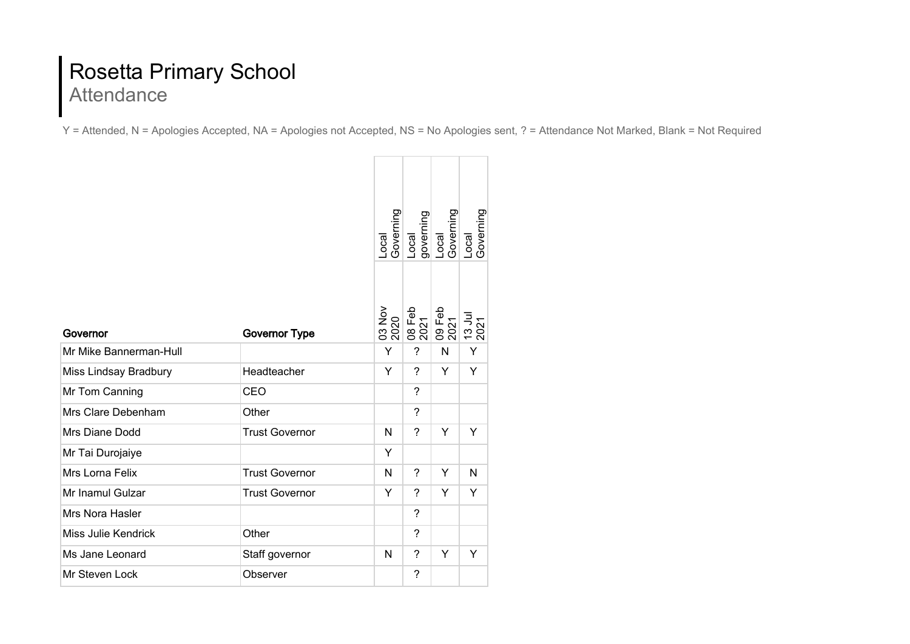#### Rosetta Primary School **Attendance**

|                            |                       | Local<br>Governing | Local<br>governing<br>03 Nov<br>2020<br>08 Feb<br>2021 | Local<br>Governing<br>09 Feb<br>2021 | Governing<br>Loca<br>13 Jul |
|----------------------------|-----------------------|--------------------|--------------------------------------------------------|--------------------------------------|-----------------------------|
| Governor                   | <b>Governor Type</b>  |                    |                                                        |                                      |                             |
| Mr Mike Bannerman-Hull     |                       | Y                  | $\overline{\phantom{0}}$                               | N                                    | Y                           |
| Miss Lindsay Bradbury      | Headteacher           | Y                  | $\overline{?}$                                         | Y                                    | Y                           |
| Mr Tom Canning             | CEO                   |                    | $\overline{\phantom{0}}$                               |                                      |                             |
| Mrs Clare Debenham         | Other                 |                    | $\tilde{?}$                                            |                                      |                             |
| Mrs Diane Dodd             | <b>Trust Governor</b> | N                  | $\overline{?}$                                         | Y                                    | Y                           |
| Mr Tai Durojaiye           |                       | Y                  |                                                        |                                      |                             |
| Mrs Lorna Felix            | <b>Trust Governor</b> | N                  | ?                                                      | Y                                    | N                           |
| Mr Inamul Gulzar           | <b>Trust Governor</b> | Y                  | ?                                                      | Y                                    | Y                           |
| <b>Mrs Nora Hasler</b>     |                       |                    | ?                                                      |                                      |                             |
| <b>Miss Julie Kendrick</b> | Other                 |                    | ?                                                      |                                      |                             |
| Ms Jane Leonard            | Staff governor        | N                  | ?                                                      | Y                                    | Y                           |
| Mr Steven Lock             | Observer              |                    | ?                                                      |                                      |                             |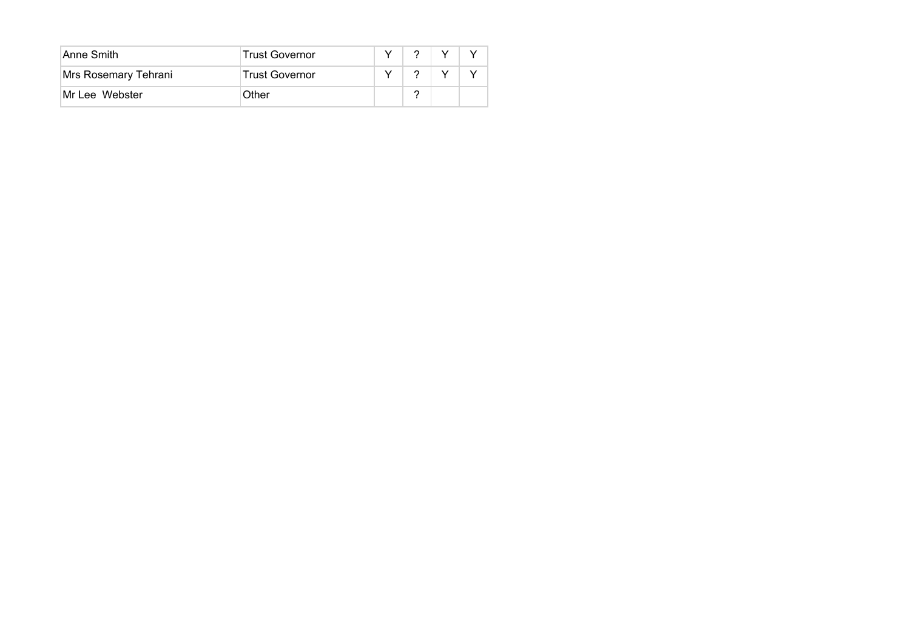| Anne Smith           | <b>Trust Governor</b> |  |  |
|----------------------|-----------------------|--|--|
| Mrs Rosemary Tehrani | <b>Trust Governor</b> |  |  |
| Mr Lee Webster       | Other                 |  |  |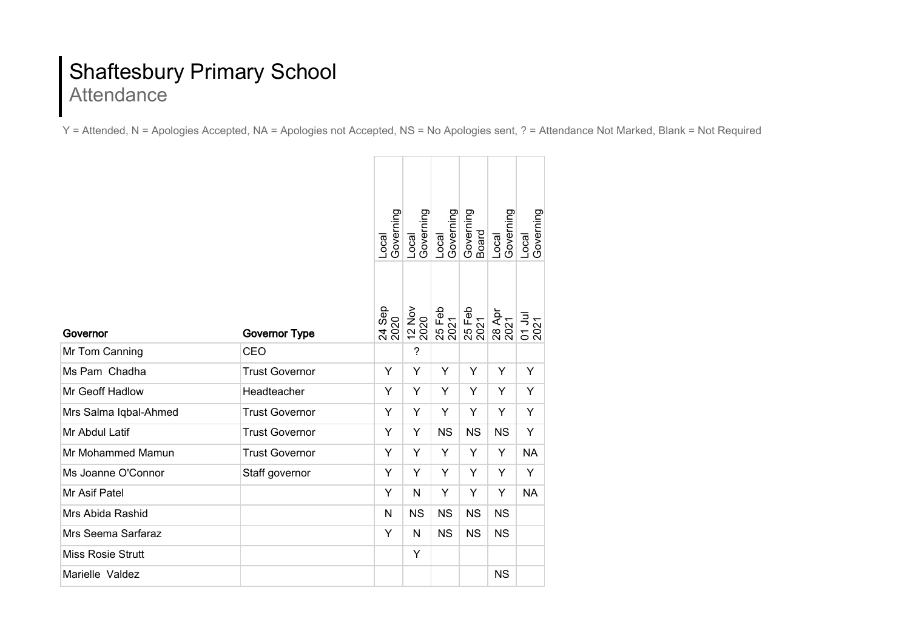### Shaftesbury Primary School **Attendance**

| Governor                 | <b>Governor Type</b>  | Governing<br>Loca<br>24 Sep<br>2020 | Governing<br>Loca<br>12 Nov | Local<br>Governing<br>25 Feb<br>2021 | Governing<br>Board<br>25 Feb<br>2021 | Governing<br>Local<br>28 Apr<br>2021 | Governing<br>Local<br>01 Jul<br>2021 |
|--------------------------|-----------------------|-------------------------------------|-----------------------------|--------------------------------------|--------------------------------------|--------------------------------------|--------------------------------------|
| Mr Tom Canning           | CEO                   |                                     | $\overline{\mathcal{C}}$    |                                      |                                      |                                      |                                      |
| Ms Pam Chadha            | <b>Trust Governor</b> | Y                                   | Y                           | Y                                    | Y                                    | Y                                    | Υ                                    |
| Mr Geoff Hadlow          | Headteacher           | Υ                                   | Y                           | Y                                    | Y                                    | Y                                    | Υ                                    |
| Mrs Salma Iqbal-Ahmed    | <b>Trust Governor</b> | Y                                   | Y                           | Y                                    | Y                                    | Y                                    | Y                                    |
| Mr Abdul Latif           | <b>Trust Governor</b> | Y                                   | Y                           | <b>NS</b>                            | <b>NS</b>                            | <b>NS</b>                            | Y                                    |
| Mr Mohammed Mamun        | <b>Trust Governor</b> | Y                                   | Y                           | Y                                    | Y                                    | Y                                    | <b>NA</b>                            |
| Ms Joanne O'Connor       | Staff governor        | Y                                   | Y                           | Y                                    | Y                                    | Y                                    | Y                                    |
| Mr Asif Patel            |                       | Y                                   | N                           | Y                                    | Y                                    | Y                                    | <b>NA</b>                            |
| Mrs Abida Rashid         |                       | N                                   | ΝS                          | <b>NS</b>                            | <b>NS</b>                            | <b>NS</b>                            |                                      |
| Mrs Seema Sarfaraz       |                       | Y                                   | N                           | <b>NS</b>                            | <b>NS</b>                            | <b>NS</b>                            |                                      |
| <b>Miss Rosie Strutt</b> |                       |                                     | Y                           |                                      |                                      |                                      |                                      |
| Marielle Valdez          |                       |                                     |                             |                                      |                                      | <b>NS</b>                            |                                      |